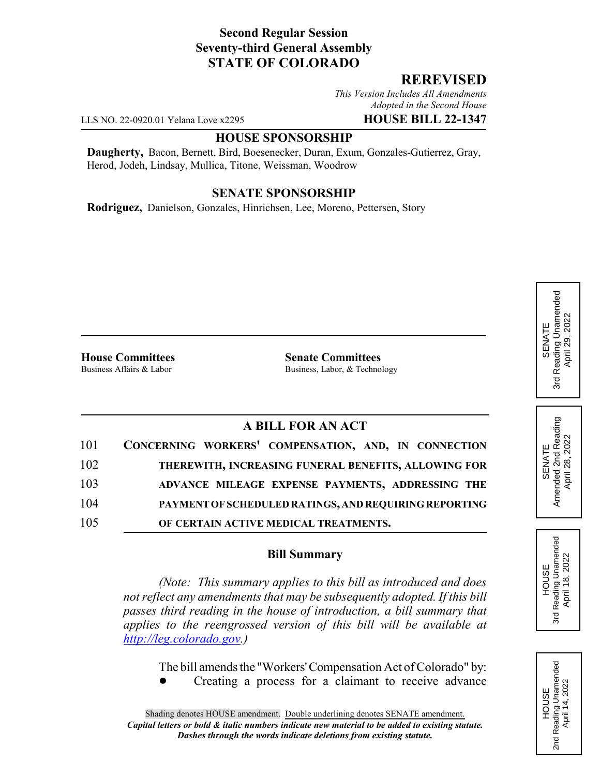# **Second Regular Session Seventy-third General Assembly STATE OF COLORADO**

### **REREVISED**

*This Version Includes All Amendments Adopted in the Second House*

LLS NO. 22-0920.01 Yelana Love x2295 **HOUSE BILL 22-1347**

#### **HOUSE SPONSORSHIP**

**Daugherty,** Bacon, Bernett, Bird, Boesenecker, Duran, Exum, Gonzales-Gutierrez, Gray, Herod, Jodeh, Lindsay, Mullica, Titone, Weissman, Woodrow

### **SENATE SPONSORSHIP**

**Rodriguez,** Danielson, Gonzales, Hinrichsen, Lee, Moreno, Pettersen, Story

**House Committees**<br>Business Affairs & Labor<br>Business, Labor. & Techno

Business, Labor, & Technology

# **A BILL FOR AN ACT**

| 101 | CONCERNING WORKERS' COMPENSATION, AND, IN CONNECTION  |
|-----|-------------------------------------------------------|
| 102 | THEREWITH, INCREASING FUNERAL BENEFITS, ALLOWING FOR  |
| 103 | ADVANCE MILEAGE EXPENSE PAYMENTS, ADDRESSING THE      |
| 104 | PAYMENT OF SCHEDULED RATINGS, AND REQUIRING REPORTING |
| 105 | OF CERTAIN ACTIVE MEDICAL TREATMENTS.                 |

# **Bill Summary**

*(Note: This summary applies to this bill as introduced and does not reflect any amendments that may be subsequently adopted. If this bill passes third reading in the house of introduction, a bill summary that applies to the reengrossed version of this bill will be available at http://leg.colorado.gov.)*

The bill amends the "Workers' Compensation Act of Colorado" by:

Creating a process for a claimant to receive advance

SENATE<br>Amended 2nd Reading<br>April 28, 2022 Amended 2nd Reading April 28, 2022

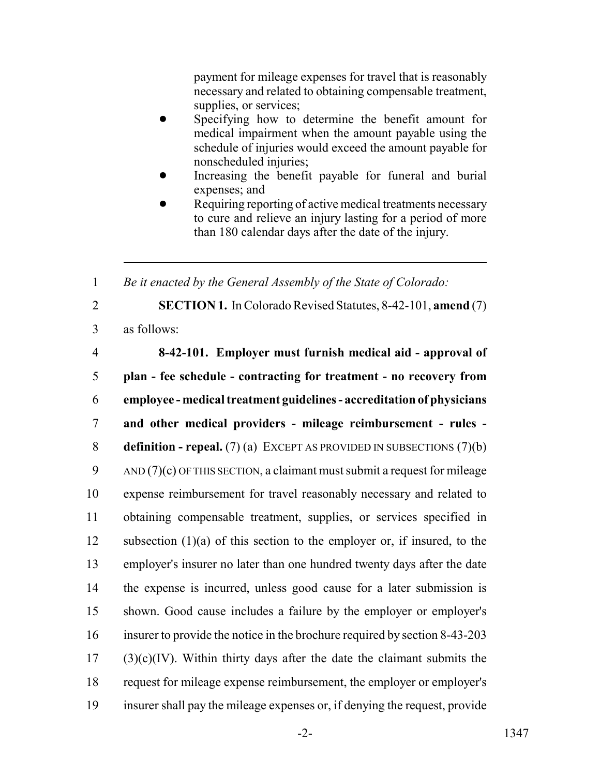payment for mileage expenses for travel that is reasonably necessary and related to obtaining compensable treatment, supplies, or services;

- Specifying how to determine the benefit amount for medical impairment when the amount payable using the schedule of injuries would exceed the amount payable for nonscheduled injuries;
- Increasing the benefit payable for funeral and burial expenses; and
- Requiring reporting of active medical treatments necessary to cure and relieve an injury lasting for a period of more than 180 calendar days after the date of the injury.

1 *Be it enacted by the General Assembly of the State of Colorado:*

2 **SECTION 1.** In Colorado Revised Statutes, 8-42-101, **amend** (7)

3 as follows:

 **8-42-101. Employer must furnish medical aid - approval of plan - fee schedule - contracting for treatment - no recovery from employee - medical treatment guidelines - accreditation of physicians and other medical providers - mileage reimbursement - rules - definition - repeal.** (7) (a) EXCEPT AS PROVIDED IN SUBSECTIONS (7)(b) AND  $(7)(c)$  OF THIS SECTION, a claimant must submit a request for mileage expense reimbursement for travel reasonably necessary and related to obtaining compensable treatment, supplies, or services specified in subsection (1)(a) of this section to the employer or, if insured, to the employer's insurer no later than one hundred twenty days after the date the expense is incurred, unless good cause for a later submission is shown. Good cause includes a failure by the employer or employer's insurer to provide the notice in the brochure required by section 8-43-203 (3)(c)(IV). Within thirty days after the date the claimant submits the request for mileage expense reimbursement, the employer or employer's insurer shall pay the mileage expenses or, if denying the request, provide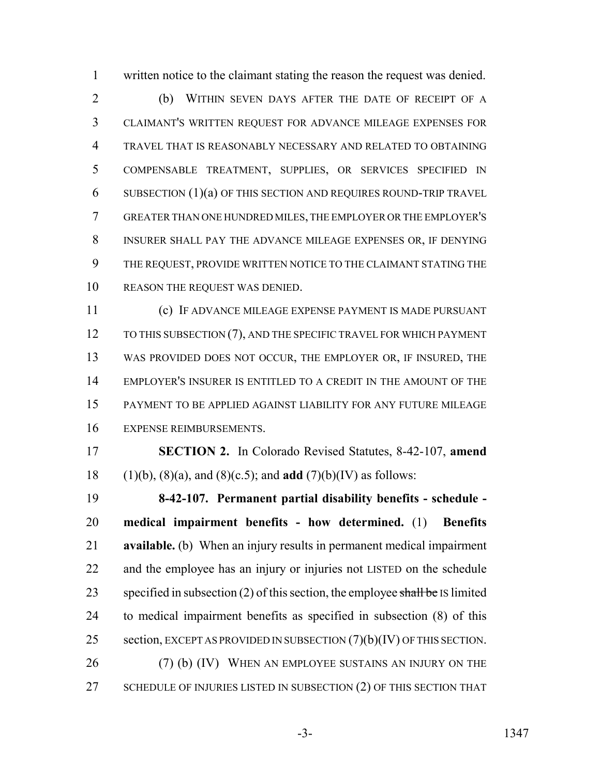written notice to the claimant stating the reason the request was denied.

 (b) WITHIN SEVEN DAYS AFTER THE DATE OF RECEIPT OF A CLAIMANT'S WRITTEN REQUEST FOR ADVANCE MILEAGE EXPENSES FOR TRAVEL THAT IS REASONABLY NECESSARY AND RELATED TO OBTAINING COMPENSABLE TREATMENT, SUPPLIES, OR SERVICES SPECIFIED IN SUBSECTION (1)(a) OF THIS SECTION AND REQUIRES ROUND-TRIP TRAVEL GREATER THAN ONE HUNDRED MILES, THE EMPLOYER OR THE EMPLOYER'S INSURER SHALL PAY THE ADVANCE MILEAGE EXPENSES OR, IF DENYING THE REQUEST, PROVIDE WRITTEN NOTICE TO THE CLAIMANT STATING THE REASON THE REQUEST WAS DENIED.

 (c) IF ADVANCE MILEAGE EXPENSE PAYMENT IS MADE PURSUANT 12 TO THIS SUBSECTION (7), AND THE SPECIFIC TRAVEL FOR WHICH PAYMENT WAS PROVIDED DOES NOT OCCUR, THE EMPLOYER OR, IF INSURED, THE EMPLOYER'S INSURER IS ENTITLED TO A CREDIT IN THE AMOUNT OF THE PAYMENT TO BE APPLIED AGAINST LIABILITY FOR ANY FUTURE MILEAGE EXPENSE REIMBURSEMENTS.

 **SECTION 2.** In Colorado Revised Statutes, 8-42-107, **amend** (1)(b), (8)(a), and (8)(c.5); and **add** (7)(b)(IV) as follows:

 **8-42-107. Permanent partial disability benefits - schedule - medical impairment benefits - how determined.** (1) **Benefits available.** (b) When an injury results in permanent medical impairment and the employee has an injury or injuries not LISTED on the schedule 23 specified in subsection (2) of this section, the employee shall be IS limited to medical impairment benefits as specified in subsection (8) of this 25 section, EXCEPT AS PROVIDED IN SUBSECTION  $(7)(b)(IV)$  OF THIS SECTION. 26 (7) (b) (IV) WHEN AN EMPLOYEE SUSTAINS AN INJURY ON THE 27 SCHEDULE OF INJURIES LISTED IN SUBSECTION (2) OF THIS SECTION THAT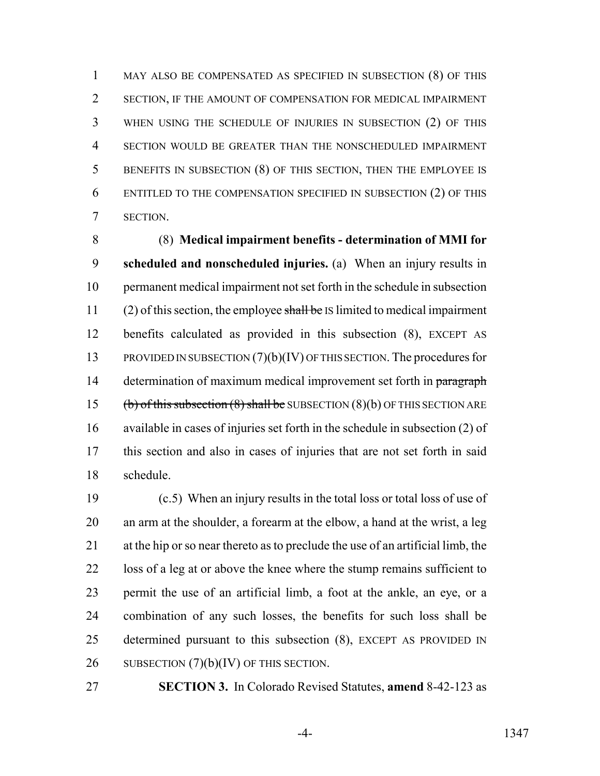MAY ALSO BE COMPENSATED AS SPECIFIED IN SUBSECTION (8) OF THIS SECTION, IF THE AMOUNT OF COMPENSATION FOR MEDICAL IMPAIRMENT WHEN USING THE SCHEDULE OF INJURIES IN SUBSECTION (2) OF THIS SECTION WOULD BE GREATER THAN THE NONSCHEDULED IMPAIRMENT BENEFITS IN SUBSECTION (8) OF THIS SECTION, THEN THE EMPLOYEE IS ENTITLED TO THE COMPENSATION SPECIFIED IN SUBSECTION (2) OF THIS SECTION.

 (8) **Medical impairment benefits - determination of MMI for scheduled and nonscheduled injuries.** (a) When an injury results in permanent medical impairment not set forth in the schedule in subsection 11 (2) of this section, the employee shall be IS limited to medical impairment benefits calculated as provided in this subsection (8), EXCEPT AS PROVIDED IN SUBSECTION (7)(b)(IV) OF THIS SECTION. The procedures for 14 determination of maximum medical improvement set forth in paragraph 15 (b) of this subsection  $(8)$  shall be SUBSECTION  $(8)(b)$  OF THIS SECTION ARE available in cases of injuries set forth in the schedule in subsection (2) of this section and also in cases of injuries that are not set forth in said schedule.

 (c.5) When an injury results in the total loss or total loss of use of an arm at the shoulder, a forearm at the elbow, a hand at the wrist, a leg at the hip or so near thereto as to preclude the use of an artificial limb, the loss of a leg at or above the knee where the stump remains sufficient to permit the use of an artificial limb, a foot at the ankle, an eye, or a combination of any such losses, the benefits for such loss shall be determined pursuant to this subsection (8), EXCEPT AS PROVIDED IN 26 SUBSECTION  $(7)(b)(IV)$  OF THIS SECTION.

**SECTION 3.** In Colorado Revised Statutes, **amend** 8-42-123 as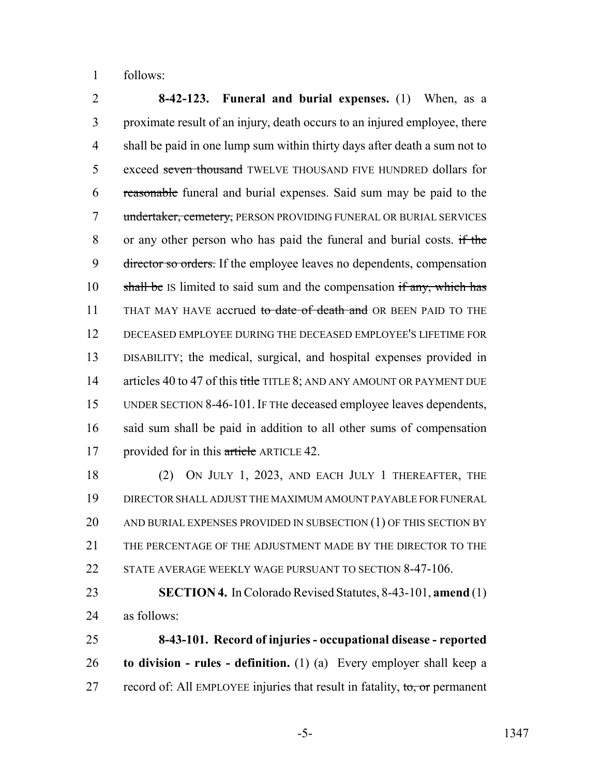follows:

 **8-42-123. Funeral and burial expenses.** (1) When, as a proximate result of an injury, death occurs to an injured employee, there shall be paid in one lump sum within thirty days after death a sum not to 5 exceed seven thousand TWELVE THOUSAND FIVE HUNDRED dollars for reasonable funeral and burial expenses. Said sum may be paid to the 7 undertaker, cemetery, PERSON PROVIDING FUNERAL OR BURIAL SERVICES or any other person who has paid the funeral and burial costs. if the 9 director so orders. If the employee leaves no dependents, compensation 10 shall be IS limited to said sum and the compensation if any, which has 11 THAT MAY HAVE accrued to date of death and OR BEEN PAID TO THE DECEASED EMPLOYEE DURING THE DECEASED EMPLOYEE'S LIFETIME FOR DISABILITY; the medical, surgical, and hospital expenses provided in 14 articles 40 to 47 of this title TITLE 8; AND ANY AMOUNT OR PAYMENT DUE UNDER SECTION 8-46-101. IF THe deceased employee leaves dependents, said sum shall be paid in addition to all other sums of compensation 17 provided for in this article ARTICLE 42.

 (2) ON JULY 1, 2023, AND EACH JULY 1 THEREAFTER, THE DIRECTOR SHALL ADJUST THE MAXIMUM AMOUNT PAYABLE FOR FUNERAL 20 AND BURIAL EXPENSES PROVIDED IN SUBSECTION (1) OF THIS SECTION BY THE PERCENTAGE OF THE ADJUSTMENT MADE BY THE DIRECTOR TO THE STATE AVERAGE WEEKLY WAGE PURSUANT TO SECTION 8-47-106.

 **SECTION 4.** In Colorado Revised Statutes, 8-43-101, **amend** (1) as follows:

 **8-43-101. Record of injuries - occupational disease - reported to division - rules - definition.** (1) (a) Every employer shall keep a 27 record of: All EMPLOYEE injuries that result in fatality, to, or permanent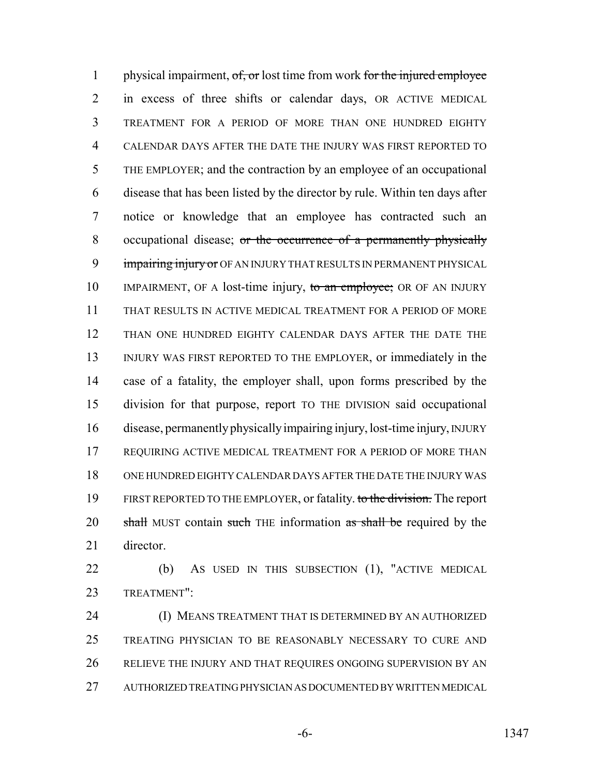1 physical impairment, of, or lost time from work for the injured employee in excess of three shifts or calendar days, OR ACTIVE MEDICAL TREATMENT FOR A PERIOD OF MORE THAN ONE HUNDRED EIGHTY CALENDAR DAYS AFTER THE DATE THE INJURY WAS FIRST REPORTED TO THE EMPLOYER; and the contraction by an employee of an occupational disease that has been listed by the director by rule. Within ten days after notice or knowledge that an employee has contracted such an 8 occupational disease; or the occurrence of a permanently physically 9 impairing injury or OF AN INJURY THAT RESULTS IN PERMANENT PHYSICAL 10 IMPAIRMENT, OF A lost-time injury, to an employee; OR OF AN INJURY THAT RESULTS IN ACTIVE MEDICAL TREATMENT FOR A PERIOD OF MORE THAN ONE HUNDRED EIGHTY CALENDAR DAYS AFTER THE DATE THE INJURY WAS FIRST REPORTED TO THE EMPLOYER, or immediately in the case of a fatality, the employer shall, upon forms prescribed by the division for that purpose, report TO THE DIVISION said occupational disease, permanently physically impairing injury, lost-time injury, INJURY REQUIRING ACTIVE MEDICAL TREATMENT FOR A PERIOD OF MORE THAN ONE HUNDRED EIGHTY CALENDAR DAYS AFTER THE DATE THE INJURY WAS 19 FIRST REPORTED TO THE EMPLOYER, or fatality. to the division. The report 20 shall MUST contain such THE information as shall be required by the director.

 (b) AS USED IN THIS SUBSECTION (1), "ACTIVE MEDICAL TREATMENT":

 (I) MEANS TREATMENT THAT IS DETERMINED BY AN AUTHORIZED TREATING PHYSICIAN TO BE REASONABLY NECESSARY TO CURE AND RELIEVE THE INJURY AND THAT REQUIRES ONGOING SUPERVISION BY AN AUTHORIZED TREATING PHYSICIAN AS DOCUMENTED BY WRITTEN MEDICAL

-6- 1347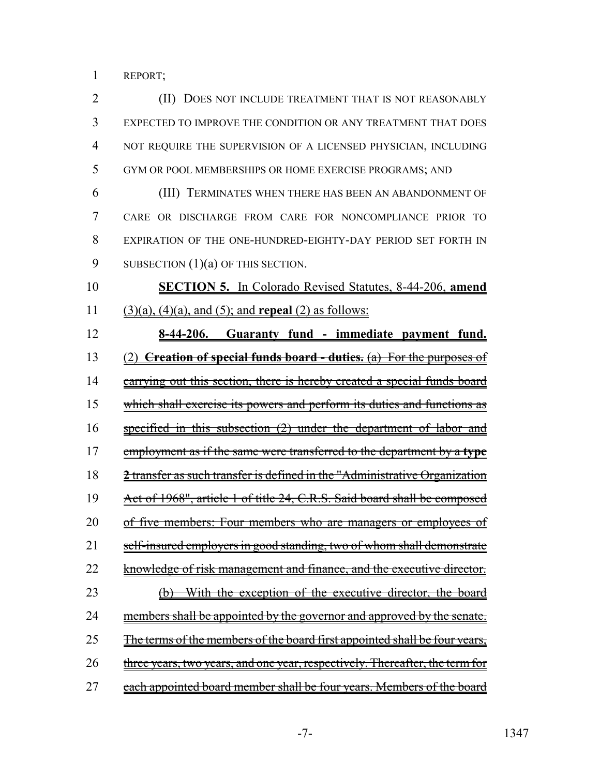REPORT;

| $\overline{2}$ | (II)<br>DOES NOT INCLUDE TREATMENT THAT IS NOT REASONABLY                    |
|----------------|------------------------------------------------------------------------------|
| 3              | EXPECTED TO IMPROVE THE CONDITION OR ANY TREATMENT THAT DOES                 |
| 4              | NOT REQUIRE THE SUPERVISION OF A LICENSED PHYSICIAN, INCLUDING               |
| 5              | GYM OR POOL MEMBERSHIPS OR HOME EXERCISE PROGRAMS; AND                       |
| 6              | (III) TERMINATES WHEN THERE HAS BEEN AN ABANDONMENT OF                       |
| 7              | CARE OR DISCHARGE FROM CARE FOR NONCOMPLIANCE PRIOR TO                       |
| 8              | EXPIRATION OF THE ONE-HUNDRED-EIGHTY-DAY PERIOD SET FORTH IN                 |
| 9              | SUBSECTION $(1)(a)$ OF THIS SECTION.                                         |
| 10             | <b>SECTION 5.</b> In Colorado Revised Statutes, 8-44-206, amend              |
| 11             | $(3)(a)$ , $(4)(a)$ , and $(5)$ ; and <b>repeal</b> $(2)$ as follows:        |
| 12             | 8-44-206. Guaranty fund - immediate payment fund.                            |
| 13             | (2) <b>Creation of special funds board - duties.</b> (a) For the purposes of |
| 14             | carrying out this section, there is hereby created a special funds board     |
| 15             | which shall exercise its powers and perform its duties and functions as      |
| 16             | specified in this subsection $(2)$ under the department of labor and         |
| 17             | employment as if the same were transferred to the department by a type       |
| 18             | 2 transfer as such transfer is defined in the "Administrative Organization   |
| 19             | Act of 1968", article 1 of title 24, C.R.S. Said board shall be composed     |
| 20             | of five members: Four members who are managers or employees<br>ot            |
| 21             | self-insured employers in good standing, two of whom shall demonstrate       |
| 22             | knowledge of risk management and finance, and the executive director.        |
| 23             | With the exception of the executive director, the board                      |
| 24             | members shall be appointed by the governor and approved by the senate.       |
| 25             | The terms of the members of the board first appointed shall be four years,   |
| 26             | three years, two years, and one year, respectively. Thereafter, the term for |
| 27             | each appointed board member shall be four years. Members of the board        |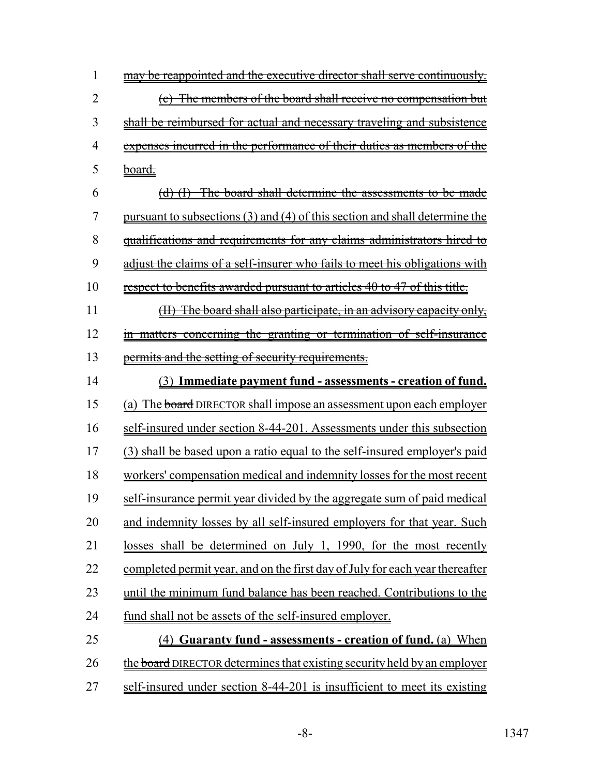| <u>may be reappointed and the executive director shall serve continuously.</u>  |
|---------------------------------------------------------------------------------|
| (c) The members of the board shall receive no compensation but                  |
| shall be reimbursed for actual and necessary traveling and subsistence          |
| expenses incurred in the performance of their duties as members of the          |
| <del>board.</del>                                                               |
| (d) (I) The board shall determine the assessments to be made                    |
| pursuant to subsections (3) and (4) of this section and shall determine the     |
| <u>qualifications and requirements for any claims administrators hired to</u>   |
| adjust the claims of a self-insurer who fails to meet his obligations with      |
| <u>respect to benefits awarded pursuant to articles 40 to 47 of this title.</u> |
| (II) The board shall also participate, in an advisory capacity only,            |
| in matters concerning the granting or termination of self-insurance             |
| permits and the setting of security requirements.                               |
| <u>(3) Immediate payment fund - assessments - creation of fund.</u>             |
| (a) The board DIRECTOR shall impose an assessment upon each employer            |
| <u>self-insured under section 8-44-201. Assessments under this subsection</u>   |
| (3) shall be based upon a ratio equal to the self-insured employer's paid       |
| workers' compensation medical and indemnity losses for the most recent          |
| self-insurance permit year divided by the aggregate sum of paid medical         |
| and indemnity losses by all self-insured employers for that year. Such          |
| losses shall be determined on July 1, 1990, for the most recently               |
| completed permit year, and on the first day of July for each year thereafter    |
| until the minimum fund balance has been reached. Contributions to the           |
| fund shall not be assets of the self-insured employer.                          |
| (4) Guaranty fund - assessments - creation of fund. (a) When                    |
| the board DIRECTOR determines that existing security held by an employer        |
|                                                                                 |

27 self-insured under section 8-44-201 is insufficient to meet its existing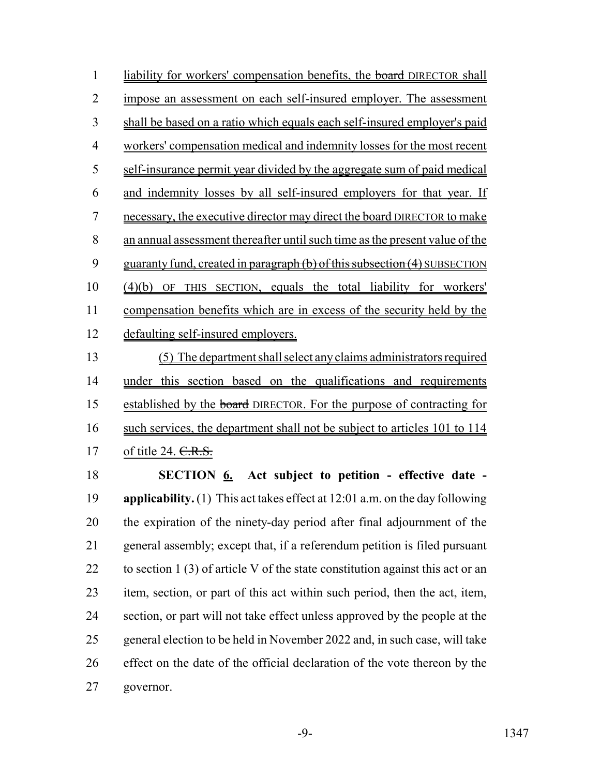1 liability for workers' compensation benefits, the board DIRECTOR shall impose an assessment on each self-insured employer. The assessment shall be based on a ratio which equals each self-insured employer's paid workers' compensation medical and indemnity losses for the most recent self-insurance permit year divided by the aggregate sum of paid medical and indemnity losses by all self-insured employers for that year. If 7 necessary, the executive director may direct the board DIRECTOR to make an annual assessment thereafter until such time as the present value of the 9 guaranty fund, created in paragraph (b) of this subsection (4) SUBSECTION (4)(b) OF THIS SECTION, equals the total liability for workers' 11 compensation benefits which are in excess of the security held by the defaulting self-insured employers. (5) The department shall select any claims administrators required under this section based on the qualifications and requirements

 established by the board DIRECTOR. For the purpose of contracting for 16 such services, the department shall not be subject to articles 101 to 114 17 of title 24. C.R.S.

 **SECTION 6. Act subject to petition - effective date - applicability.** (1) This act takes effect at 12:01 a.m. on the day following the expiration of the ninety-day period after final adjournment of the general assembly; except that, if a referendum petition is filed pursuant 22 to section 1 (3) of article V of the state constitution against this act or an item, section, or part of this act within such period, then the act, item, section, or part will not take effect unless approved by the people at the general election to be held in November 2022 and, in such case, will take effect on the date of the official declaration of the vote thereon by the governor.